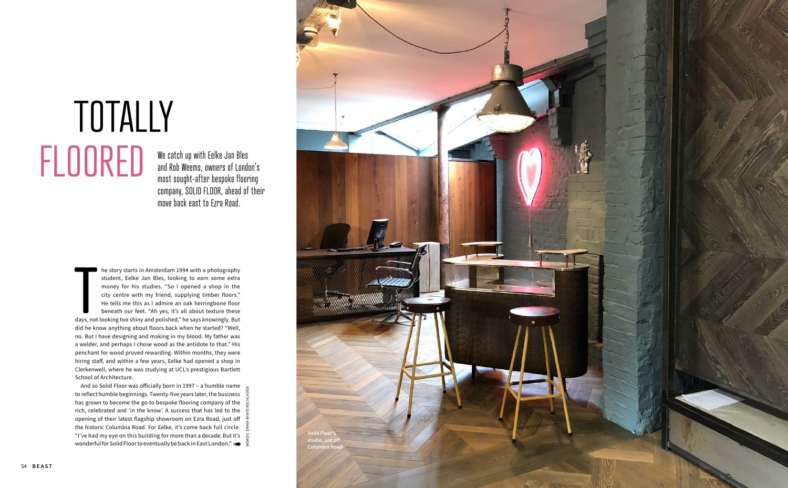We catch up with Eelke Jan Bles and Rob Weems, owners of London's most sought-after bespoke flooring company, SOLID FLOOR, ahead of their move back east to Ezra Road.

# TOTALLY FLOORED

**Example 1994** with a photography student, Eelke Jan Bles, looking to earn some extra money for his studies. "So 1 opened a shop in the city centre with my friend, supplying timber floors." He tells me this as 1 admire an he story starts in Amsterdam 1994 with a photography student, Eelke Jan Bles, looking to earn some extra money for his studies. "So I opened a shop in the city centre with my friend, supplying timber floors." He tells me this as I admire an oak herringbone floor beneath our feet. "Ah yes, it's all about texture these did he know anything about floors back when he started? "Well, no. But I have designing and making in my blood. My father was a welder, and perhaps I chose wood as the antidote to that." His penchant for wood proved rewarding. Within months, they were hiring staff, and within a few years, Eelke had opened a shop in Clerkenwell, where he was studying at UCL's prestigious Bartlett School of Architecture.

And so Solid Floor was officially born in 1997 – a humble name to reflect humble beginnings. Twenty-five years later, the business has grown to become the go-to bespoke flooring company of the rich, celebrated and 'in the know'. A success that has led to the opening of their latest flagship showroom on Ezra Road, just off the historic Columbia Road. For Eelke, it's come back full circle. "I've had my eye on this building for more than a decade. But it's wonderful for Solid Floor to eventually be back in East London,"  $\blacksquare$ 



WORDS: EMMA WINTERSCHLADEN